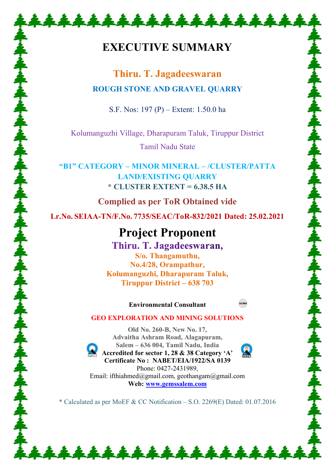# **EXECUTIVE SUMMARY**

 **Thiru. T. Jagadeeswaran ROUGH STONE AND GRAVEL QUARRY**

S.F. Nos: 197 (P) – Extent: 1.50.0 ha

Kolumanguzhi Village, Dharapuram Taluk, Tiruppur District

Tamil Nadu State

**"B1" CATEGORY – MINOR MINERAL – /CLUSTER/PATTA LAND/EXISTING QUARRY \* CLUSTER EXTENT = 6.38.5 HA**

**Complied as per ToR Obtained vide** 

**Lr.No. SEIAA-TN/F.No. 7735/SEAC/ToR-832/2021 Dated: 25.02.2021** 

# **Project Proponent**

Thiru. T. Jagadeeswaran, **S/o. Thangamuthu, No.4/28, Orampathur, Kolumanguzhi, Dharapuram Taluk, Tiruppur District – 638 703** 

## **Environmental Consultant**



# **GEO EXPLORATION AND MINING SOLUTIONS**

**Old No. 260-B, New No. 17, Advaitha Ashram Road, Alagapuram, Salem – 636 004, Tamil Nadu, India Accredited for sector 1, 28 & 38 Category 'A' Certificate No : NABET/EIA/1922/SA 0139**  Phone: 0427-2431989, Email: ifthiahmed@gmail.com, geothangam@gmail.com **Web: [www.gemssalem.com](http://www.gemssalem.com/)** 

\* Calculated as per MoEF & CC Notification – S.O. 2269(E) Dated: 01.07.2016

\*\*\*\*\*\*\*\*\*\*\*\*\*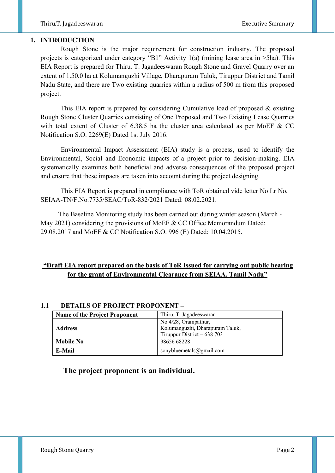## **1. INTRODUCTION**

 Rough Stone is the major requirement for construction industry. The proposed projects is categorized under category "B1" Activity 1(a) (mining lease area in >5ha). This EIA Report is prepared for Thiru. T. Jagadeeswaran Rough Stone and Gravel Quarry over an extent of 1.50.0 ha at Kolumanguzhi Village, Dharapuram Taluk, Tiruppur District and Tamil Nadu State, and there are Two existing quarries within a radius of 500 m from this proposed project.

 This EIA report is prepared by considering Cumulative load of proposed & existing Rough Stone Cluster Quarries consisting of One Proposed and Two Existing Lease Quarries with total extent of Cluster of 6.38.5 ha the cluster area calculated as per MoEF & CC Notification S.O. 2269(E) Dated 1st July 2016.

 Environmental Impact Assessment (EIA) study is a process, used to identify the Environmental, Social and Economic impacts of a project prior to decision-making. EIA systematically examines both beneficial and adverse consequences of the proposed project and ensure that these impacts are taken into account during the project designing.

 This EIA Report is prepared in compliance with ToR obtained vide letter No Lr No. SEIAA-TN/F.No.7735/SEAC/ToR-832/2021 Dated: 08.02.2021.

 The Baseline Monitoring study has been carried out during winter season (March - May 2021) considering the provisions of MoEF & CC Office Memorandum Dated: 29.08.2017 and MoEF & CC Notification S.O. 996 (E) Dated: 10.04.2015.

# **"Draft EIA report prepared on the basis of ToR Issued for carrying out public hearing for the grant of Environmental Clearance from SEIAA, Tamil Nadu"**

| <b>Name of the Project Proponent</b> | Thiru. T. Jagadeeswaran                                                                |
|--------------------------------------|----------------------------------------------------------------------------------------|
| <b>Address</b>                       | No.4/28, Orampathur,<br>Kolumanguzhi, Dharapuram Taluk,<br>Tiruppur District $-638703$ |
| <b>Mobile No</b>                     | 98656 68228                                                                            |
| E-Mail                               | sonybluemetals@gmail.com                                                               |

## **1.1 DETAILS OF PROJECT PROPONENT –**

**The project proponent is an individual.**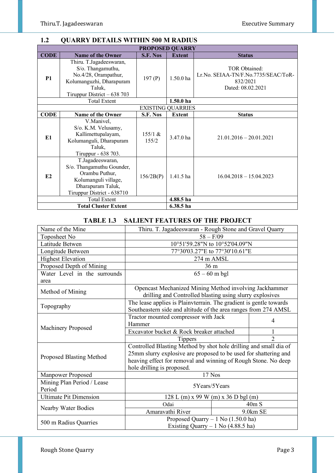# **1.2 QUARRY DETAILS WITHIN 500 M RADIUS**

| <b>PROPOSED QUARRY</b> |                                                                                                                                            |                          |                        |                                                                                       |  |
|------------------------|--------------------------------------------------------------------------------------------------------------------------------------------|--------------------------|------------------------|---------------------------------------------------------------------------------------|--|
| <b>CODE</b>            | <b>Name of the Owner</b>                                                                                                                   | S.F. Nos                 | <b>Extent</b>          | <b>Status</b>                                                                         |  |
| <b>P1</b>              | Thiru. T.Jagadeeswaran,<br>S/o. Thangamuthu,<br>No.4/28, Orampathur,<br>Kolumanguzhi, Dharapuram<br>Taluk,<br>Tiruppur District $-638703$  | 197 $(P)$                | $1.50.0$ ha            | TOR Obtained:<br>Lr.No. SEIAA-TN/F.No.7735/SEAC/ToR-<br>832/2021<br>Dated: 08.02.2021 |  |
|                        | <b>Total Extent</b>                                                                                                                        |                          | $1.50.0$ ha            |                                                                                       |  |
|                        |                                                                                                                                            | <b>EXISTING QUARRIES</b> |                        |                                                                                       |  |
| <b>CODE</b>            | Name of the Owner                                                                                                                          | S.F. Nos                 | <b>Extent</b>          | <b>Status</b>                                                                         |  |
| E <sub>1</sub>         | V.Manivel,<br>S/o. K.M. Velusamy,<br>Kallimettupalayam,<br>Kolumanguli, Dharapuram<br>Taluk,<br>Tiruppur - 638 703.                        | 155/1 &<br>155/2         | $3.47.0$ ha            | $21.01.2016 - 20.01.2021$                                                             |  |
| E2                     | T.Jagadeeswaran,<br>S/o. Thangamuthu Gounder,<br>Orambu Puthur,<br>Kolumanguli village,<br>Dharapuram Taluk,<br>Tiruppur District - 638710 | 156/2B(P)                | 1.41.5 ha              | $16.04.2018 - 15.04.2023$                                                             |  |
|                        | <b>Total Extent</b>                                                                                                                        |                          | 4.88.5 ha<br>6.38.5 ha |                                                                                       |  |
|                        | <b>Total Cluster Extent</b>                                                                                                                |                          |                        |                                                                                       |  |

# **TABLE 1.3 SALIENT FEATURES OF THE PROJECT**

| Name of the Mine                     | Thiru. T. Jagadeeswaran - Rough Stone and Gravel Quarry                                                                                                                                                                               |                 |                |
|--------------------------------------|---------------------------------------------------------------------------------------------------------------------------------------------------------------------------------------------------------------------------------------|-----------------|----------------|
| Toposheet No                         | $58 - F/09$                                                                                                                                                                                                                           |                 |                |
| Latitude Betwen                      | 10°51'59.28"N to 10°52'04.09"N                                                                                                                                                                                                        |                 |                |
| Longitude Between                    | 77°30'03.27"E to 77°30'10.61"E                                                                                                                                                                                                        |                 |                |
| <b>Highest Elevation</b>             |                                                                                                                                                                                                                                       | 274 m AMSL      |                |
| Proposed Depth of Mining             |                                                                                                                                                                                                                                       | 36 <sub>m</sub> |                |
| Water Level in the surrounds         |                                                                                                                                                                                                                                       | $65 - 60$ m bgl |                |
| area                                 |                                                                                                                                                                                                                                       |                 |                |
| Method of Mining                     | Opencast Mechanized Mining Method involving Jackhammer<br>drilling and Controlled blasting using slurry explosives                                                                                                                    |                 |                |
| Topography                           | The lease applies is Plainvterrain. The gradient is gentle towards<br>Southeastern side and altitude of the area ranges from 274 AMSL                                                                                                 |                 |                |
|                                      | Tractor mounted compressor with Jack<br>Hammer                                                                                                                                                                                        |                 | 4              |
| <b>Machinery Proposed</b>            | Excavator bucket & Rock breaker attached                                                                                                                                                                                              |                 |                |
|                                      | <b>Tippers</b>                                                                                                                                                                                                                        |                 | $\mathfrak{D}$ |
| <b>Proposed Blasting Method</b>      | Controlled Blasting Method by shot hole drilling and small dia of<br>25mm slurry explosive are proposed to be used for shattering and<br>heaving effect for removal and winning of Rough Stone. No deep<br>hole drilling is proposed. |                 |                |
| <b>Manpower Proposed</b>             |                                                                                                                                                                                                                                       | 17 Nos          |                |
| Mining Plan Period / Lease<br>Period | 5Years/5Years                                                                                                                                                                                                                         |                 |                |
| <b>Ultimate Pit Dimension</b>        | $128$ L (m) x 99 W (m) x 36 D bgl (m)                                                                                                                                                                                                 |                 |                |
|                                      | Odai                                                                                                                                                                                                                                  |                 | 40m S          |
| Nearby Water Bodies                  | Amaravathi River                                                                                                                                                                                                                      |                 | 9.0km SE       |
| 500 m Radius Quarries                | Proposed Quarry $-1$ No (1.50.0 ha)<br>Existing Quarry $-1$ No (4.88.5 ha)                                                                                                                                                            |                 |                |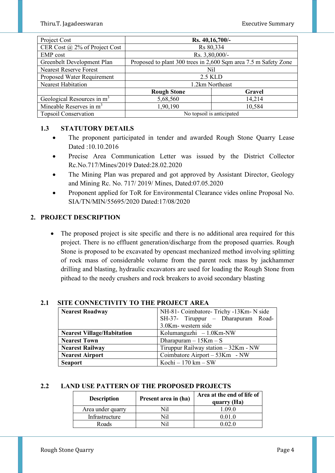| Project Cost                           | Rs. 40,16,700/-           |                                                                 |  |
|----------------------------------------|---------------------------|-----------------------------------------------------------------|--|
| CER Cost @ 2% of Project Cost          | Rs 80,334                 |                                                                 |  |
| <b>EMP</b> cost                        | Rs. 3,80,000/-            |                                                                 |  |
| Greenbelt Development Plan             |                           | Proposed to plant 300 trees in 2,600 Sqm area 7.5 m Safety Zone |  |
| <b>Nearest Reserve Forest</b>          | Nil                       |                                                                 |  |
| Proposed Water Requirement             | 2.5 KLD                   |                                                                 |  |
| Nearest Habitation                     |                           | 1.2km Northeast                                                 |  |
|                                        | <b>Rough Stone</b>        | Gravel                                                          |  |
| Geological Resources in m <sup>3</sup> | 5,68,560                  | 14,214                                                          |  |
| Mineable Reserves in $m3$              | 1,90,190<br>10,584        |                                                                 |  |
| <b>Topsoil Conservation</b>            | No topsoil is anticipated |                                                                 |  |

# **1.3 STATUTORY DETAILS**

- The proponent participated in tender and awarded Rough Stone Quarry Lease Dated :10.10.2016
- Precise Area Communication Letter was issued by the District Collector Rc.No.717/Mines/2019 Dated:28.02.2020
- The Mining Plan was prepared and got approved by Assistant Director, Geology and Mining Rc. No. 717/ 2019/ Mines, Dated:07.05.2020
- Proponent applied for ToR for Environmental Clearance vides online Proposal No. SIA/TN/MIN/55695/2020 Dated:17/08/2020

# **2. PROJECT DESCRIPTION**

• The proposed project is site specific and there is no additional area required for this project. There is no effluent generation/discharge from the proposed quarries. Rough Stone is proposed to be excavated by opencast mechanized method involving splitting of rock mass of considerable volume from the parent rock mass by jackhammer drilling and blasting, hydraulic excavators are used for loading the Rough Stone from pithead to the needy crushers and rock breakers to avoid secondary blasting

| <b>Nearest Roadway</b>            | NH-81- Coimbatore- Trichy -13Km- N side<br>SH-37- Tiruppur - Dharapuram Road-<br>3.0Km- western side |  |  |
|-----------------------------------|------------------------------------------------------------------------------------------------------|--|--|
| <b>Nearest Village/Habitation</b> | Kolumanguzhi $-1.0$ Km-NW                                                                            |  |  |
| <b>Nearest Town</b>               | Dharapuram $-15$ Km $-$ S                                                                            |  |  |
| <b>Nearest Railway</b>            | Tiruppur Railway station - 32Km - NW                                                                 |  |  |
| <b>Nearest Airport</b>            | Coimbatore Airport – 53Km - NW                                                                       |  |  |
| <b>Seaport</b>                    | Kochi $-170$ km $-$ SW                                                                               |  |  |

# **2.1 SITE CONNECTIVITY TO THE PROJECT AREA**

# **2.2 LAND USE PATTERN OF THE PROPOSED PROJECTS**

| <b>Description</b> | Present area in (ha) | Area at the end of life of<br>quarry (Ha) |
|--------------------|----------------------|-------------------------------------------|
| Area under quarry  | Nil                  | .09.0                                     |
| Infrastructure     | Nil                  | 0.01.0                                    |
| Roads              | \Ti1                 |                                           |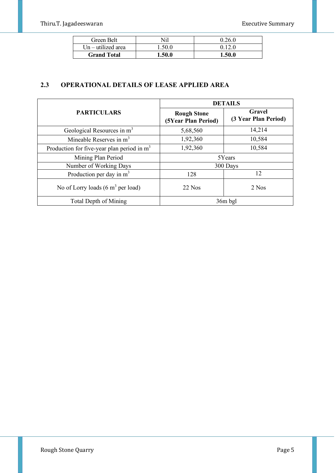| Green Belt           | Nil    | 0.26.0 |
|----------------------|--------|--------|
| $Un - utilized area$ | 1.50.0 | 0.12.0 |
| <b>Grand Total</b>   | 1.50.0 | 1.50.0 |

# **2.3 OPERATIONAL DETAILS OF LEASE APPLIED AREA**

|                                                      | <b>DETAILS</b>                            |                                |  |  |
|------------------------------------------------------|-------------------------------------------|--------------------------------|--|--|
| <b>PARTICULARS</b>                                   | <b>Rough Stone</b><br>(5Year Plan Period) | Gravel<br>(3 Year Plan Period) |  |  |
| Geological Resources in m <sup>3</sup>               | 5,68,560                                  | 14,214                         |  |  |
| Mineable Reserves in $m3$                            | 1,92,360                                  | 10,584                         |  |  |
| Production for five-year plan period in $m3$         | 1,92,360                                  | 10,584                         |  |  |
| Mining Plan Period                                   | 5Years                                    |                                |  |  |
| Number of Working Days                               |                                           | 300 Days                       |  |  |
| Production per day in $m3$                           | 128                                       | 12                             |  |  |
| No of Lorry loads $(6 \text{ m}^3 \text{ per load})$ | $22$ Nos                                  | 2 Nos                          |  |  |
| Total Depth of Mining                                |                                           | 36m bgl                        |  |  |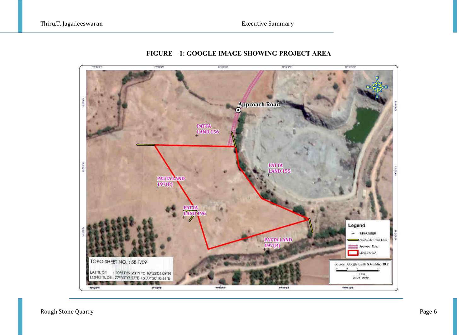

# **FIGURE – 1: GOOGLE IMAGE SHOWING PROJECT AREA**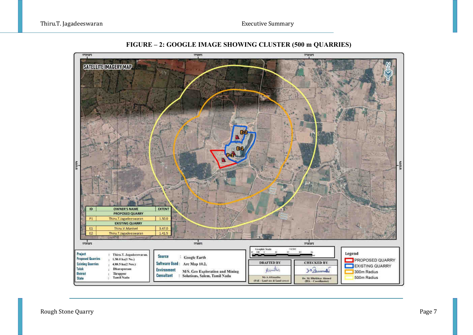

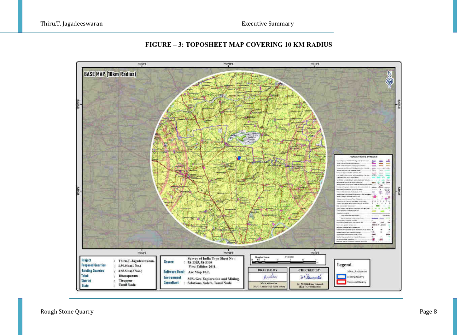



Rough Stone Quarry Page 8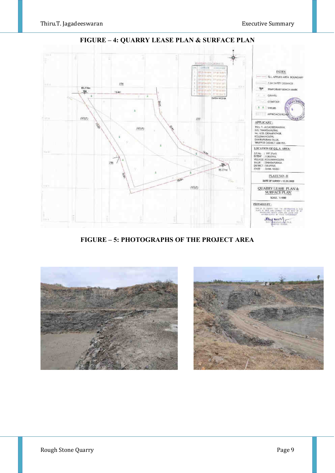

**FIGURE – 4: QUARRY LEASE PLAN & SURFACE PLAN** 

**FIGURE – 5: PHOTOGRAPHS OF THE PROJECT AREA** 



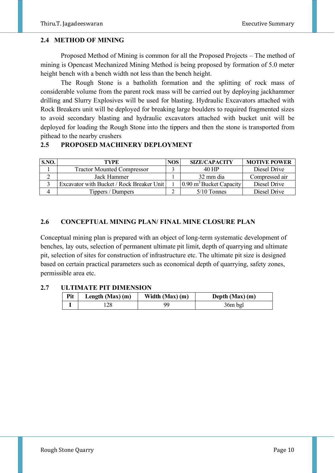## **2.4 METHOD OF MINING**

 Proposed Method of Mining is common for all the Proposed Projects – The method of mining is Opencast Mechanized Mining Method is being proposed by formation of 5.0 meter height bench with a bench width not less than the bench height.

 The Rough Stone is a batholith formation and the splitting of rock mass of considerable volume from the parent rock mass will be carried out by deploying jackhammer drilling and Slurry Explosives will be used for blasting. Hydraulic Excavators attached with Rock Breakers unit will be deployed for breaking large boulders to required fragmented sizes to avoid secondary blasting and hydraulic excavators attached with bucket unit will be deployed for loading the Rough Stone into the tippers and then the stone is transported from pithead to the nearby crushers

# **2.5 PROPOSED MACHINERY DEPLOYMENT**

| S.NO. | TYPE                                      | <b>NOS</b> | <b>SIZE/CAPACITY</b>                       | <b>MOTIVE POWER</b> |
|-------|-------------------------------------------|------------|--------------------------------------------|---------------------|
|       | <b>Tractor Mounted Compressor</b>         |            | 40 HP                                      | Diesel Drive        |
|       | Jack Hammer                               |            | 32 mm dia                                  | Compressed air      |
|       | Excavator with Bucket / Rock Breaker Unit |            | $\sim$ 0.90 m <sup>3</sup> Bucket Capacity | Diesel Drive        |
|       | Tippers / Dumpers                         |            | $5/10$ Tonnes                              | Diesel Drive        |

# **2.6 CONCEPTUAL MINING PLAN/ FINAL MINE CLOSURE PLAN**

Conceptual mining plan is prepared with an object of long-term systematic development of benches, lay outs, selection of permanent ultimate pit limit, depth of quarrying and ultimate pit, selection of sites for construction of infrastructure etc. The ultimate pit size is designed based on certain practical parameters such as economical depth of quarrying, safety zones, permissible area etc.

## **2.7 ULTIMATE PIT DIMENSION**

| Pit | Length $(Max)$ (m) | Width $(Max)$ (m) | Depth $(Max)$ (m) |
|-----|--------------------|-------------------|-------------------|
|     | 28                 |                   | 36m bgl           |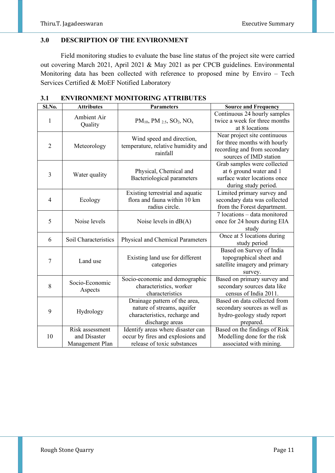# **3.0 DESCRIPTION OF THE ENVIRONMENT**

Field monitoring studies to evaluate the base line status of the project site were carried out covering March 2021, April 2021 & May 2021 as per CPCB guidelines. Environmental Monitoring data has been collected with reference to proposed mine by Enviro – Tech Services Certified & MoEF Notified Laboratory

| Sl.No.         | <b>Attributes</b>                                  | <b>Parameters</b>                                                                                               | <b>Source and Frequency</b>                                                                                            |
|----------------|----------------------------------------------------|-----------------------------------------------------------------------------------------------------------------|------------------------------------------------------------------------------------------------------------------------|
| $\mathbf{1}$   | Ambient Air<br>Quality                             | $PM_{10}$ , PM $_{2.5}$ , SO <sub>2</sub> , NO <sub>x</sub>                                                     | Continuous 24 hourly samples<br>twice a week for three months<br>at 8 locations                                        |
| $\overline{2}$ | Meteorology                                        | Wind speed and direction,<br>temperature, relative humidity and<br>rainfall                                     | Near project site continuous<br>for three months with hourly<br>recording and from secondary<br>sources of IMD station |
| 3              | Water quality                                      | Physical, Chemical and<br>Bacteriological parameters                                                            | Grab samples were collected<br>at 6 ground water and 1<br>surface water locations once<br>during study period.         |
| $\overline{4}$ | Ecology                                            | Existing terrestrial and aquatic<br>flora and fauna within 10 km<br>radius circle.                              | Limited primary survey and<br>secondary data was collected<br>from the Forest department.                              |
| 5              | Noise levels                                       | Noise levels in $dB(A)$                                                                                         | 7 locations - data monitored<br>once for 24 hours during EIA<br>study                                                  |
| 6              | Soil Characteristics                               | Physical and Chemical Parameters                                                                                | Once at 5 locations during<br>study period                                                                             |
| 7              | Land use                                           | Existing land use for different<br>categories                                                                   | Based on Survey of India<br>topographical sheet and<br>satellite imagery and primary<br>survey.                        |
| 8              | Socio-Economic<br>Aspects                          | Socio-economic and demographic<br>characteristics, worker<br>characteristics                                    | Based on primary survey and<br>secondary sources data like<br>census of India 2011.                                    |
| 9              | Hydrology                                          | Drainage pattern of the area,<br>nature of streams, aquifer<br>characteristics, recharge and<br>discharge areas | Based on data collected from<br>secondary sources as well as<br>hydro-geology study report<br>prepared.                |
| 10             | Risk assessment<br>and Disaster<br>Management Plan | Identify areas where disaster can<br>occur by fires and explosions and<br>release of toxic substances           | Based on the findings of Risk<br>Modelling done for the risk<br>associated with mining.                                |

**3.1 ENVIRONMENT MONITORING ATTRIBUTES**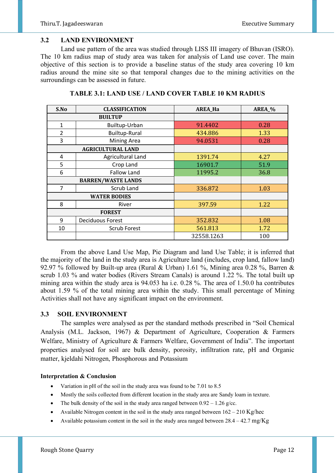#### **3.2 LAND ENVIRONMENT**

 Land use pattern of the area was studied through LISS III imagery of Bhuvan (ISRO). The 10 km radius map of study area was taken for analysis of Land use cover. The main objective of this section is to provide a baseline status of the study area covering 10 km radius around the mine site so that temporal changes due to the mining activities on the surroundings can be assessed in future.

| S.No                      | <b>CLASSIFICATION</b>    | <b>AREA_Ha</b> | AREA_% |
|---------------------------|--------------------------|----------------|--------|
| <b>BUILTUP</b>            |                          |                |        |
| 1                         | Builtup-Urban            | 91.4402        | 0.28   |
| $\overline{2}$            | <b>Builtup-Rural</b>     | 434.886        | 1.33   |
| 3                         | <b>Mining Area</b>       | 94.0531        | 0.28   |
|                           | <b>AGRICULTURAL LAND</b> |                |        |
| 4                         | <b>Agricultural Land</b> | 1391.74        | 4.27   |
| 5                         | Crop Land                | 16901.7        | 51.9   |
| 6                         | <b>Fallow Land</b>       | 11995.2        | 36.8   |
| <b>BARREN/WASTE LANDS</b> |                          |                |        |
| $\overline{7}$            | Scrub Land               | 336.872        | 1.03   |
| <b>WATER BODIES</b>       |                          |                |        |
| 8                         | River                    | 397.59         | 1.22   |
| <b>FOREST</b>             |                          |                |        |
| 9                         | <b>Deciduous Forest</b>  | 352.832        | 1.08   |
| 10                        | Scrub Forest             | 561.813        | 1.72   |
|                           |                          | 32558.1263     | 100    |

**TABLE 3.1: LAND USE / LAND COVER TABLE 10 KM RADIUS** 

 From the above Land Use Map, Pie Diagram and land Use Table; it is inferred that the majority of the land in the study area is Agriculture land (includes, crop land, fallow land) 92.97 % followed by Built-up area (Rural & Urban) 1.61 %, Mining area 0.28 %, Barren & scrub 1.03 % and water bodies (Rivers Stream Canals) is around 1.22 %. The total built up mining area within the study area is 94.053 ha i.e. 0.28 %. The area of 1.50.0 ha contributes about 1.59 % of the total mining area within the study. This small percentage of Mining Activities shall not have any significant impact on the environment.

## **3.3 SOIL ENVIRONMENT**

 The samples were analysed as per the standard methods prescribed in "Soil Chemical Analysis (M.L. Jackson, 1967) & Department of Agriculture, Cooperation & Farmers Welfare, Ministry of Agriculture & Farmers Welfare, Government of India". The important properties analysed for soil are bulk density, porosity, infiltration rate, pH and Organic matter, kjeldahi Nitrogen, Phosphorous and Potassium

#### **Interpretation & Conclusion**

- Variation in pH of the soil in the study area was found to be 7.01 to 8.5
- Mostly the soils collected from different location in the study area are Sandy loam in texture.
- The bulk density of the soil in the study area ranged between  $0.92 1.26$  g/cc.
- Available Nitrogen content in the soil in the study area ranged between  $162 210$  Kg/hec
- Available potassium content in the soil in the study area ranged between  $28.4 42.7$  mg/Kg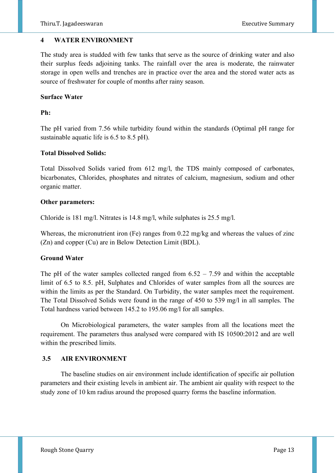## **4 WATER ENVIRONMENT**

The study area is studded with few tanks that serve as the source of drinking water and also their surplus feeds adjoining tanks. The rainfall over the area is moderate, the rainwater storage in open wells and trenches are in practice over the area and the stored water acts as source of freshwater for couple of months after rainy season.

## **Surface Water**

## **Ph:**

The pH varied from 7.56 while turbidity found within the standards (Optimal pH range for sustainable aquatic life is 6.5 to 8.5 pH).

## **Total Dissolved Solids:**

Total Dissolved Solids varied from 612 mg/l, the TDS mainly composed of carbonates, bicarbonates, Chlorides, phosphates and nitrates of calcium, magnesium, sodium and other organic matter.

## **Other parameters:**

Chloride is 181 mg/l. Nitrates is 14.8 mg/l, while sulphates is 25.5 mg/l.

Whereas, the micronutrient iron (Fe) ranges from 0.22 mg/kg and whereas the values of zinc (Zn) and copper (Cu) are in Below Detection Limit (BDL).

# **Ground Water**

The pH of the water samples collected ranged from  $6.52 - 7.59$  and within the acceptable limit of 6.5 to 8.5. pH, Sulphates and Chlorides of water samples from all the sources are within the limits as per the Standard. On Turbidity, the water samples meet the requirement. The Total Dissolved Solids were found in the range of 450 to 539 mg/l in all samples. The Total hardness varied between 145.2 to 195.06 mg/l for all samples.

 On Microbiological parameters, the water samples from all the locations meet the requirement. The parameters thus analysed were compared with IS 10500:2012 and are well within the prescribed limits.

# **3.5 AIR ENVIRONMENT**

The baseline studies on air environment include identification of specific air pollution parameters and their existing levels in ambient air. The ambient air quality with respect to the study zone of 10 km radius around the proposed quarry forms the baseline information.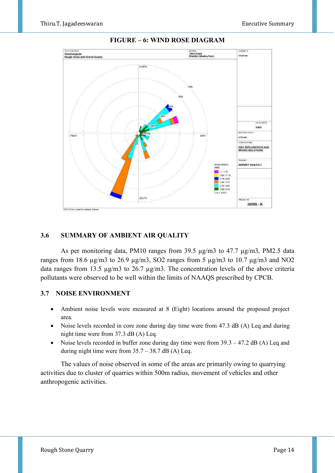

## **FIGURE – 6: WIND ROSE DIAGRAM**

## **3.6 SUMMARY OF AMBIENT AIR QUALITY**

As per monitoring data, PM10 ranges from 39.5  $\mu$ g/m3 to 47.7  $\mu$ g/m3, PM2.5 data ranges from 18.6  $\mu$ g/m3 to 26.9  $\mu$ g/m3, SO2 ranges from 5  $\mu$ g/m3 to 10.7  $\mu$ g/m3 and NO2 data ranges from 13.5  $\mu$ g/m3 to 26.7  $\mu$ g/m3. The concentration levels of the above criteria pollutants were observed to be well within the limits of NAAQS prescribed by CPCB.

## **3.7 NOISE ENVIRONMENT**

- Ambient noise levels were measured at 8 (Eight) locations around the proposed project area.
- Noise levels recorded in core zone during day time were from 47.3 dB (A) Leq and during night time were from 37.3 dB (A) Leq.
- Noise levels recorded in buffer zone during day time were from  $39.3 47.2$  dB (A) Leq and during night time were from  $35.7 - 38.7$  dB (A) Leq.

The values of noise observed in some of the areas are primarily owing to quarrying activities due to cluster of quarries within 500m radius, movement of vehicles and other anthropogenic activities.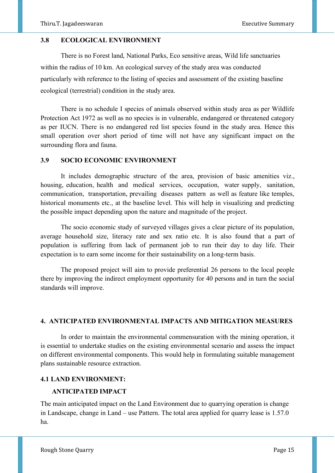## **3.8 ECOLOGICAL ENVIRONMENT**

There is no Forest land, National Parks, Eco sensitive areas, Wild life sanctuaries within the radius of 10 km. An ecological survey of the study area was conducted particularly with reference to the listing of species and assessment of the existing baseline ecological (terrestrial) condition in the study area.

There is no schedule I species of animals observed within study area as per Wildlife Protection Act 1972 as well as no species is in vulnerable, endangered or threatened category as per IUCN. There is no endangered red list species found in the study area. Hence this small operation over short period of time will not have any significant impact on the surrounding flora and fauna.

## **3.9 SOCIO ECONOMIC ENVIRONMENT**

It includes demographic structure of the area, provision of basic amenities viz., housing, education, health and medical services, occupation, water supply, sanitation, communication, transportation, prevailing diseases pattern as well as feature like temples, historical monuments etc., at the baseline level. This will help in visualizing and predicting the possible impact depending upon the nature and magnitude of the project.

The socio economic study of surveyed villages gives a clear picture of its population, average household size, literacy rate and sex ratio etc. It is also found that a part of population is suffering from lack of permanent job to run their day to day life. Their expectation is to earn some income for their sustainability on a long-term basis.

The proposed project will aim to provide preferential 26 persons to the local people there by improving the indirect employment opportunity for 40 persons and in turn the social standards will improve.

#### **4. ANTICIPATED ENVIRONMENTAL IMPACTS AND MITIGATION MEASURES**

In order to maintain the environmental commensuration with the mining operation, it is essential to undertake studies on the existing environmental scenario and assess the impact on different environmental components. This would help in formulating suitable management plans sustainable resource extraction.

## **4.1 LAND ENVIRONMENT:**

## **ANTICIPATED IMPACT**

The main anticipated impact on the Land Environment due to quarrying operation is change in Landscape, change in Land – use Pattern. The total area applied for quarry lease is 1.57.0 ha.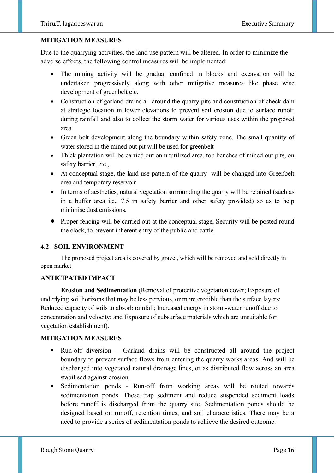## **MITIGATION MEASURES**

Due to the quarrying activities, the land use pattern will be altered. In order to minimize the adverse effects, the following control measures will be implemented:

- The mining activity will be gradual confined in blocks and excavation will be undertaken progressively along with other mitigative measures like phase wise development of greenbelt etc.
- Construction of garland drains all around the quarry pits and construction of check dam at strategic location in lower elevations to prevent soil erosion due to surface runoff during rainfall and also to collect the storm water for various uses within the proposed area
- Green belt development along the boundary within safety zone. The small quantity of water stored in the mined out pit will be used for greenbelt
- Thick plantation will be carried out on unutilized area, top benches of mined out pits, on safety barrier, etc.,
- At conceptual stage, the land use pattern of the quarry will be changed into Greenbelt area and temporary reservoir
- In terms of aesthetics, natural vegetation surrounding the quarry will be retained (such as in a buffer area i.e., 7.5 m safety barrier and other safety provided) so as to help minimise dust emissions.
- Proper fencing will be carried out at the conceptual stage, Security will be posted round the clock, to prevent inherent entry of the public and cattle.

## **4.2 SOIL ENVIRONMENT**

 The proposed project area is covered by gravel, which will be removed and sold directly in open market

# **ANTICIPATED IMPACT**

**Erosion and Sedimentation** (Removal of protective vegetation cover; Exposure of underlying soil horizons that may be less pervious, or more erodible than the surface layers; Reduced capacity of soils to absorb rainfall; Increased energy in storm-water runoff due to concentration and velocity; and Exposure of subsurface materials which are unsuitable for vegetation establishment).

## **MITIGATION MEASURES**

- $Run-off$  diversion Garland drains will be constructed all around the project boundary to prevent surface flows from entering the quarry works areas. And will be discharged into vegetated natural drainage lines, or as distributed flow across an area stabilised against erosion.
- Sedimentation ponds Run-off from working areas will be routed towards sedimentation ponds. These trap sediment and reduce suspended sediment loads before runoff is discharged from the quarry site. Sedimentation ponds should be designed based on runoff, retention times, and soil characteristics. There may be a need to provide a series of sedimentation ponds to achieve the desired outcome.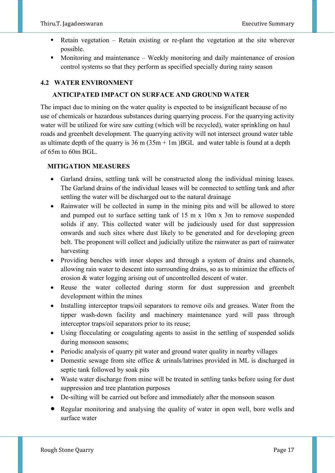- Retain vegetation Retain existing or re-plant the vegetation at the site wherever possible.
- Monitoring and maintenance Weekly monitoring and daily maintenance of erosion control systems so that they perform as specified specially during rainy season

# **4.2 WATER ENVIRONMENT**

# **ANTICIPATED IMPACT ON SURFACE AND GROUND WATER**

The impact due to mining on the water quality is expected to be insignificant because of no use of chemicals or hazardous substances during quarrying process. For the quarrying activity water will be utilized for wire saw cutting (which will be recycled), water sprinkling on haul roads and greenbelt development. The quarrying activity will not intersect ground water table as ultimate depth of the quarry is  $36 \text{ m} (35 \text{ m} + 1 \text{ m})$  BGL and water table is found at a depth of 65m to 60m BGL.

# **MITIGATION MEASURES**

- Garland drains, settling tank will be constructed along the individual mining leases. The Garland drains of the individual leases will be connected to settling tank and after settling the water will be discharged out to the natural drainage
- Rainwater will be collected in sump in the mining pits and will be allowed to store and pumped out to surface setting tank of 15 m x 10m x 3m to remove suspended solids if any. This collected water will be judiciously used for dust suppression onwards and such sites where dust likely to be generated and for developing green belt. The proponent will collect and judicially utilize the rainwater as part of rainwater harvesting
- Providing benches with inner slopes and through a system of drains and channels, allowing rain water to descent into surrounding drains, so as to minimize the effects of erosion & water logging arising out of uncontrolled descent of water.
- Reuse the water collected during storm for dust suppression and greenbelt development within the mines
- Installing interceptor traps/oil separators to remove oils and greases. Water from the tipper wash-down facility and machinery maintenance yard will pass through interceptor traps/oil separators prior to its reuse;
- Using flocculating or coagulating agents to assist in the settling of suspended solids during monsoon seasons;
- Periodic analysis of quarry pit water and ground water quality in nearby villages
- Domestic sewage from site office & urinals/latrines provided in ML is discharged in septic tank followed by soak pits
- Waste water discharge from mine will be treated in settling tanks before using for dust suppression and tree plantation purposes
- De-silting will be carried out before and immediately after the monsoon season
- Regular monitoring and analysing the quality of water in open well, bore wells and surface water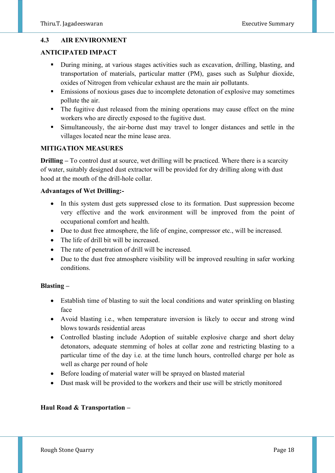# **4.3 AIR ENVIRONMENT**

# **ANTICIPATED IMPACT**

- During mining, at various stages activities such as excavation, drilling, blasting, and transportation of materials, particular matter (PM), gases such as Sulphur dioxide, oxides of Nitrogen from vehicular exhaust are the main air pollutants.
- **Emissions of noxious gases due to incomplete detonation of explosive may sometimes** pollute the air.
- The fugitive dust released from the mining operations may cause effect on the mine workers who are directly exposed to the fugitive dust.
- Simultaneously, the air-borne dust may travel to longer distances and settle in the villages located near the mine lease area.

## **MITIGATION MEASURES**

**Drilling –** To control dust at source, wet drilling will be practiced. Where there is a scarcity of water, suitably designed dust extractor will be provided for dry drilling along with dust hood at the mouth of the drill-hole collar.

## **Advantages of Wet Drilling:-**

- In this system dust gets suppressed close to its formation. Dust suppression become very effective and the work environment will be improved from the point of occupational comfort and health.
- Due to dust free atmosphere, the life of engine, compressor etc., will be increased.
- The life of drill bit will be increased.
- The rate of penetration of drill will be increased.
- Due to the dust free atmosphere visibility will be improved resulting in safer working conditions.

## **Blasting –**

- Establish time of blasting to suit the local conditions and water sprinkling on blasting face
- Avoid blasting i.e., when temperature inversion is likely to occur and strong wind blows towards residential areas
- Controlled blasting include Adoption of suitable explosive charge and short delay detonators, adequate stemming of holes at collar zone and restricting blasting to a particular time of the day i.e. at the time lunch hours, controlled charge per hole as well as charge per round of hole
- Before loading of material water will be sprayed on blasted material
- Dust mask will be provided to the workers and their use will be strictly monitored

# **Haul Road & Transportation –**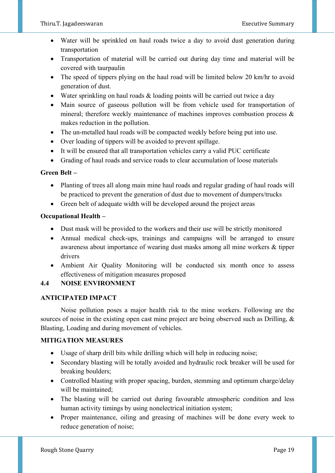- Water will be sprinkled on haul roads twice a day to avoid dust generation during transportation
- Transportation of material will be carried out during day time and material will be covered with taurpaulin
- The speed of tippers plying on the haul road will be limited below 20 km/hr to avoid generation of dust.
- Water sprinkling on haul roads & loading points will be carried out twice a day
- Main source of gaseous pollution will be from vehicle used for transportation of mineral; therefore weekly maintenance of machines improves combustion process & makes reduction in the pollution.
- The un-metalled haul roads will be compacted weekly before being put into use.
- Over loading of tippers will be avoided to prevent spillage.
- It will be ensured that all transportation vehicles carry a valid PUC certificate
- Grading of haul roads and service roads to clear accumulation of loose materials

# **Green Belt –**

- Planting of trees all along main mine haul roads and regular grading of haul roads will be practiced to prevent the generation of dust due to movement of dumpers/trucks
- Green belt of adequate width will be developed around the project areas

# **Occupational Health –**

- Dust mask will be provided to the workers and their use will be strictly monitored
- Annual medical check-ups, trainings and campaigns will be arranged to ensure awareness about importance of wearing dust masks among all mine workers & tipper drivers
- Ambient Air Quality Monitoring will be conducted six month once to assess effectiveness of mitigation measures proposed

# **4.4 NOISE ENVIRONMENT**

# **ANTICIPATED IMPACT**

Noise pollution poses a major health risk to the mine workers. Following are the sources of noise in the existing open cast mine project are being observed such as Drilling, & Blasting, Loading and during movement of vehicles.

# **MITIGATION MEASURES**

- Usage of sharp drill bits while drilling which will help in reducing noise;
- Secondary blasting will be totally avoided and hydraulic rock breaker will be used for breaking boulders;
- Controlled blasting with proper spacing, burden, stemming and optimum charge/delay will be maintained;
- The blasting will be carried out during favourable atmospheric condition and less human activity timings by using nonelectrical initiation system;
- Proper maintenance, oiling and greasing of machines will be done every week to reduce generation of noise;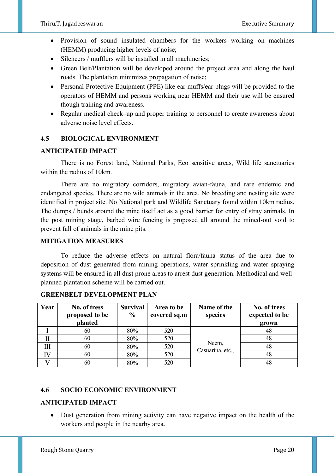- Provision of sound insulated chambers for the workers working on machines (HEMM) producing higher levels of noise;
- Silencers / mufflers will be installed in all machineries;
- Green Belt/Plantation will be developed around the project area and along the haul roads. The plantation minimizes propagation of noise;
- Personal Protective Equipment (PPE) like ear muffs/ear plugs will be provided to the operators of HEMM and persons working near HEMM and their use will be ensured though training and awareness.
- Regular medical check–up and proper training to personnel to create awareness about adverse noise level effects.

# **4.5 BIOLOGICAL ENVIRONMENT**

# **ANTICIPATED IMPACT**

There is no Forest land, National Parks, Eco sensitive areas, Wild life sanctuaries within the radius of 10km.

 There are no migratory corridors, migratory avian-fauna, and rare endemic and endangered species. There are no wild animals in the area. No breeding and nesting site were identified in project site. No National park and Wildlife Sanctuary found within 10km radius. The dumps / bunds around the mine itself act as a good barrier for entry of stray animals. In the post mining stage, barbed wire fencing is proposed all around the mined-out void to prevent fall of animals in the mine pits.

## **MITIGATION MEASURES**

 To reduce the adverse effects on natural flora/fauna status of the area due to deposition of dust generated from mining operations, water sprinkling and water spraying systems will be ensured in all dust prone areas to arrest dust generation. Methodical and wellplanned plantation scheme will be carried out.

| Year | No. of tress<br>proposed to be<br>planted | <b>Survival</b><br>$\frac{6}{9}$ | Area to be<br>covered sq.m | Name of the<br>species    | No. of trees<br>expected to be<br>grown |
|------|-------------------------------------------|----------------------------------|----------------------------|---------------------------|-----------------------------------------|
|      | 60                                        | 80%                              | 520                        |                           | 48                                      |
|      | 60                                        | 80%                              | 520                        |                           | 48                                      |
| Ш    | 60                                        | 80%                              | 520                        | Neem,<br>Casuarina, etc., | 48                                      |
| IV   | 60                                        | 80%                              | 520                        |                           | 48                                      |
|      | 60                                        | 80%                              | 520                        |                           | 48                                      |

# **GREENBELT DEVELOPMENT PLAN**

# **4.6 SOCIO ECONOMIC ENVIRONMENT**

## **ANTICIPATED IMPACT**

• Dust generation from mining activity can have negative impact on the health of the workers and people in the nearby area.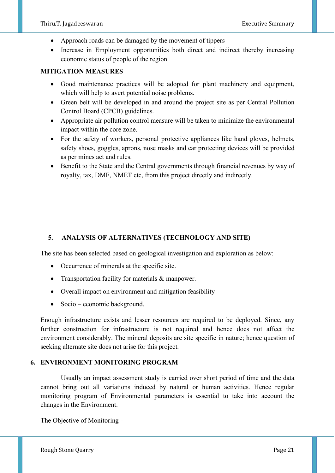- Approach roads can be damaged by the movement of tippers
- Increase in Employment opportunities both direct and indirect thereby increasing economic status of people of the region

## **MITIGATION MEASURES**

- Good maintenance practices will be adopted for plant machinery and equipment, which will help to avert potential noise problems.
- Green belt will be developed in and around the project site as per Central Pollution Control Board (CPCB) guidelines.
- Appropriate air pollution control measure will be taken to minimize the environmental impact within the core zone.
- For the safety of workers, personal protective appliances like hand gloves, helmets, safety shoes, goggles, aprons, nose masks and ear protecting devices will be provided as per mines act and rules.
- Benefit to the State and the Central governments through financial revenues by way of royalty, tax, DMF, NMET etc, from this project directly and indirectly.

# **5. ANALYSIS OF ALTERNATIVES (TECHNOLOGY AND SITE)**

The site has been selected based on geological investigation and exploration as below:

- Occurrence of minerals at the specific site.
- Transportation facility for materials & manpower.
- Overall impact on environment and mitigation feasibility
- Socio economic background.

Enough infrastructure exists and lesser resources are required to be deployed. Since, any further construction for infrastructure is not required and hence does not affect the environment considerably. The mineral deposits are site specific in nature; hence question of seeking alternate site does not arise for this project.

## **6. ENVIRONMENT MONITORING PROGRAM**

Usually an impact assessment study is carried over short period of time and the data cannot bring out all variations induced by natural or human activities. Hence regular monitoring program of Environmental parameters is essential to take into account the changes in the Environment.

The Objective of Monitoring -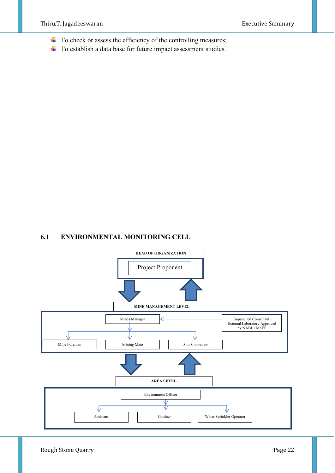- $\overline{\phantom{a}}$  To check or assess the efficiency of the controlling measures;
- **↓** To establish a data base for future impact assessment studies.

## **6.1 ENVIRONMENTAL MONITORING CELL**

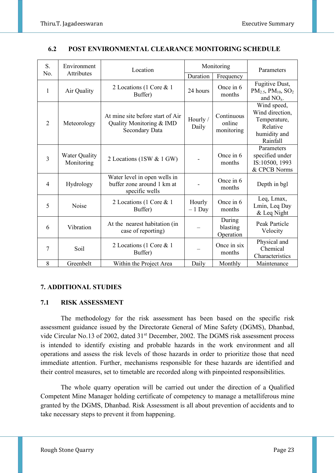| S.             | Environment                 | Location                                                                              | Monitoring         |                                    | Parameters                                                                             |
|----------------|-----------------------------|---------------------------------------------------------------------------------------|--------------------|------------------------------------|----------------------------------------------------------------------------------------|
| No.            | <b>Attributes</b>           |                                                                                       | Duration           | Frequency                          |                                                                                        |
| 1              | Air Quality                 | 2 Locations (1 Core & 1<br>Buffer)                                                    | 24 hours           | Once in 6<br>months                | Fugitive Dust,<br>$PM_{2.5}$ , $PM_{10}$ , $SO_2$<br>and $NOx$ .                       |
| $\overline{2}$ | Meteorology                 | At mine site before start of Air<br>Quality Monitoring & IMD<br><b>Secondary Data</b> | Hourly /<br>Daily  | Continuous<br>online<br>monitoring | Wind speed,<br>Wind direction,<br>Temperature,<br>Relative<br>humidity and<br>Rainfall |
| $\overline{3}$ | Water Quality<br>Monitoring | 2 Locations (1SW & 1 GW)                                                              |                    | Once in 6<br>months                | Parameters<br>specified under<br>IS:10500, 1993<br>& CPCB Norms                        |
| $\overline{4}$ | Hydrology                   | Water level in open wells in<br>buffer zone around 1 km at<br>specific wells          |                    | Once in 6<br>months                | Depth in bgl                                                                           |
| 5              | Noise                       | 2 Locations (1 Core & 1<br>Buffer)                                                    | Hourly<br>$-1$ Day | Once in 6<br>months                | Leq, Lmax,<br>Lmin, Leq Day<br>& Leq Night                                             |
| 6              | Vibration                   | At the nearest habitation (in<br>case of reporting)                                   |                    | During<br>blasting<br>Operation    | Peak Particle<br>Velocity                                                              |
| $\tau$         | Soil                        | 2 Locations (1 Core & 1<br>Buffer)                                                    |                    | Once in six<br>months              | Physical and<br>Chemical<br>Characteristics                                            |
| 8              | Greenbelt                   | Within the Project Area                                                               | Daily              | Monthly                            | Maintenance                                                                            |

## **6.2 POST ENVIRONMENTAL CLEARANCE MONITORING SCHEDULE**

# **7. ADDITIONAL STUDIES**

## **7.1 RISK ASSESSMENT**

The methodology for the risk assessment has been based on the specific risk assessment guidance issued by the Directorate General of Mine Safety (DGMS), Dhanbad, vide Circular No.13 of 2002, dated 31<sup>st</sup> December, 2002. The DGMS risk assessment process is intended to identify existing and probable hazards in the work environment and all operations and assess the risk levels of those hazards in order to prioritize those that need immediate attention. Further, mechanisms responsible for these hazards are identified and their control measures, set to timetable are recorded along with pinpointed responsibilities.

The whole quarry operation will be carried out under the direction of a Qualified Competent Mine Manager holding certificate of competency to manage a metalliferous mine granted by the DGMS, Dhanbad. Risk Assessment is all about prevention of accidents and to take necessary steps to prevent it from happening.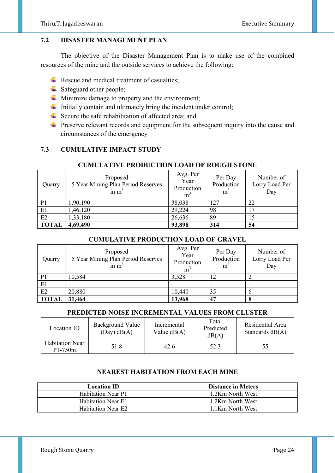# **7.2 DISASTER MANAGEMENT PLAN**

 The objective of the Disaster Management Plan is to make use of the combined resources of the mine and the outside services to achieve the following:

- $\overline{\phantom{a}}$  Rescue and medical treatment of casualties;
- $\frac{1}{\sqrt{2}}$  Safeguard other people;
- $\overline{\text{I}}$  Minimize damage to property and the environment;
- $\downarrow$  Initially contain and ultimately bring the incident under control;
- Secure the safe rehabilitation of affected area; and
- $\ddot{\phantom{1}}$  Preserve relevant records and equipment for the subsequent inquiry into the cause and circumstances of the emergency

## **7.3 CUMULATIVE IMPACT STUDY**

# **CUMULATIVE PRODUCTION LOAD OF ROUGH STONE**

| Quarry         | Proposed<br>5 Year Mining Plan Period Reserves<br>in $m3$ | Avg. Per<br>Year<br>Production<br>m <sup>3</sup> | Per Day<br>Production<br>m <sup>3</sup> | Number of<br>Lorry Load Per<br>Day |
|----------------|-----------------------------------------------------------|--------------------------------------------------|-----------------------------------------|------------------------------------|
| P <sub>1</sub> | 1,90,190                                                  | 38,038                                           | 127                                     | 22                                 |
| E1             | 1,46,120                                                  | 29,224                                           | 98                                      |                                    |
| E2             | 1,33,180                                                  | 26,636                                           | 89                                      |                                    |
| <b>TOTAL</b>   | 4,69,490                                                  | 93,898                                           | 314                                     | 54                                 |

## **CUMULATIVE PRODUCTION LOAD OF GRAVEL**

| Quarry         | Proposed<br>5 Year Mining Plan Period Reserves<br>in $m3$ | Avg. Per<br>Year<br>Production<br>m <sup>3</sup> | Per Day<br>Production<br>m <sup>3</sup> | Number of<br>Lorry Load Per<br>Day |
|----------------|-----------------------------------------------------------|--------------------------------------------------|-----------------------------------------|------------------------------------|
| P <sub>1</sub> | 10,584                                                    | 3,528                                            | 12                                      |                                    |
| E1             |                                                           |                                                  |                                         |                                    |
| E2             | 20,880                                                    | 10,440                                           | 35                                      |                                    |
| <b>TOTAL</b>   | 31,464                                                    | 13,968                                           | 47                                      |                                    |

# **PREDICTED NOISE INCREMENTAL VALUES FROM CLUSTER**

| Location ID                         | <b>Background Value</b><br>$(Day)$ dB $(A)$ | Incremental<br>Value $dB(A)$ | Total<br>Predicted<br>dB(A) | Residential Area<br>Standards $dB(A)$ |
|-------------------------------------|---------------------------------------------|------------------------------|-----------------------------|---------------------------------------|
| <b>Habitation Near</b><br>$P1-750m$ | 51.8                                        | 42.6                         | 52.3                        | 55                                    |

## **NEAREST HABITATION FROM EACH MINE**

| <b>Location ID</b>        | <b>Distance in Meters</b> |
|---------------------------|---------------------------|
| <b>Habitation Near P1</b> | 1.2Km North West          |
| Habitation Near E1        | 1.2Km North West          |
| <b>Habitation Near E2</b> | 1.1Km North West          |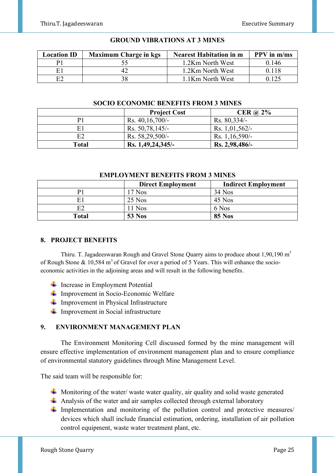| <b>Location ID</b> | <b>Maximum Charge in kgs</b> | <b>Nearest Habitation in m</b> | $PPV$ in $m/ms$ |
|--------------------|------------------------------|--------------------------------|-----------------|
|                    |                              | 1.2Km North West               | 0.146           |
| F1                 |                              | 1.2Km North West               | 0.118           |
| E2                 |                              | 1.1Km North West               |                 |

#### **GROUND VIBRATIONS AT 3 MINES**

## **SOCIO ECONOMIC BENEFITS FROM 3 MINES**

|       | <b>Project Cost</b> | CER $\omega$ 2%  |
|-------|---------------------|------------------|
| P1    | Rs. $40,16,700/-$   | $Rs. 80,334/-$   |
| E1    | Rs. 50,78,145/-     | Rs. $1,01,562/-$ |
| E2    | Rs. $58,29,500/-$   | Rs. $1,16,590/-$ |
| Total | Rs. 1,49,24,345/-   | Rs. 2,98,486/    |

#### **EMPLOYMENT BENEFITS FROM 3 MINES**

|                | <b>Direct Employment</b> | <b>Indirect Employment</b> |
|----------------|--------------------------|----------------------------|
| P1             | $17$ Nos                 | $34$ Nos                   |
| E1             | $25$ Nos                 | 45 Nos                     |
| E <sub>2</sub> | $11$ Nos                 | 6 Nos                      |
| <b>Total</b>   | <b>53 Nos</b>            | <b>85 Nos</b>              |

#### **8. PROJECT BENEFITS**

Thiru. T. Jagadeeswaran Rough and Gravel Stone Quarry aims to produce about  $1,90,190 \text{ m}^3$ of Rough Stone & 10,584 m<sup>3</sup> of Gravel for over a period of 5 Years. This will enhance the socioeconomic activities in the adjoining areas and will result in the following benefits.

- $\blacksquare$  Increase in Employment Potential
- **↓** Improvement in Socio-Economic Welfare
- **↓** Improvement in Physical Infrastructure
- $\blacksquare$  Improvement in Social infrastructure

## **9. ENVIRONMENT MANAGEMENT PLAN**

The Environment Monitoring Cell discussed formed by the mine management will ensure effective implementation of environment management plan and to ensure compliance of environmental statutory guidelines through Mine Management Level.

The said team will be responsible for:

- $\ddot{+}$  Monitoring of the water/ waste water quality, air quality and solid waste generated
- $\overline{\phantom{a}}$  Analysis of the water and air samples collected through external laboratory
- Implementation and monitoring of the pollution control and protective measures/ devices which shall include financial estimation, ordering, installation of air pollution control equipment, waste water treatment plant, etc.